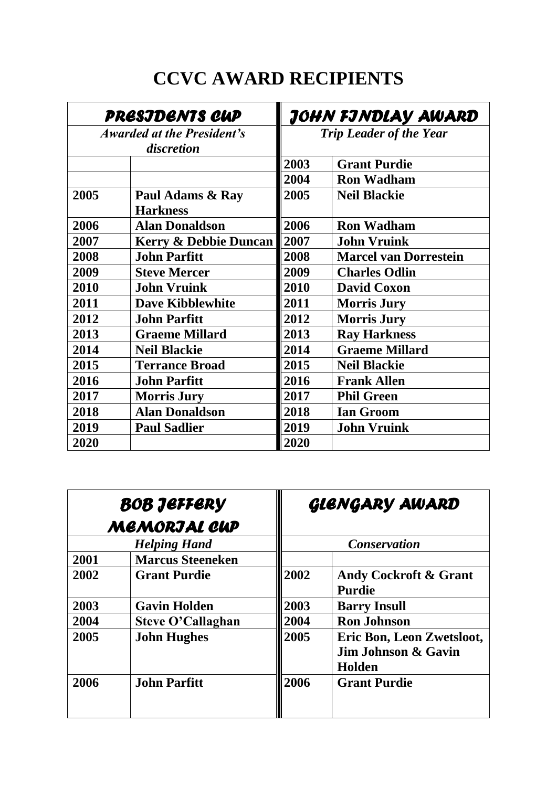## **CCVC AWARD RECIPIENTS**

| <b>PRESJDENTS CUP</b><br><i><b>Awarded at the President's</b></i><br>discretion |                                     | JOHN FJNDLAY AWARD<br><b>Trip Leader of the Year</b> |                              |
|---------------------------------------------------------------------------------|-------------------------------------|------------------------------------------------------|------------------------------|
|                                                                                 |                                     |                                                      |                              |
|                                                                                 |                                     | 2004                                                 | <b>Ron Wadham</b>            |
| 2005                                                                            | Paul Adams & Ray<br><b>Harkness</b> | 2005                                                 | <b>Neil Blackie</b>          |
| 2006                                                                            | <b>Alan Donaldson</b>               | 2006                                                 | <b>Ron Wadham</b>            |
| 2007                                                                            | <b>Kerry &amp; Debbie Duncan</b>    | 2007                                                 | <b>John Vruink</b>           |
| 2008                                                                            | <b>John Parfitt</b>                 | 2008                                                 | <b>Marcel van Dorrestein</b> |
| 2009                                                                            | <b>Steve Mercer</b>                 | 2009                                                 | <b>Charles Odlin</b>         |
| 2010                                                                            | <b>John Vruink</b>                  | 2010                                                 | <b>David Coxon</b>           |
| 2011                                                                            | <b>Dave Kibblewhite</b>             | 2011                                                 | <b>Morris Jury</b>           |
| 2012                                                                            | <b>John Parfitt</b>                 | 2012                                                 | <b>Morris Jury</b>           |
| 2013                                                                            | <b>Graeme Millard</b>               | 2013                                                 | <b>Ray Harkness</b>          |
| 2014                                                                            | <b>Neil Blackie</b>                 | 2014                                                 | <b>Graeme Millard</b>        |
| 2015                                                                            | <b>Terrance Broad</b>               | 2015                                                 | <b>Neil Blackie</b>          |
| 2016                                                                            | <b>John Parfitt</b>                 | 2016                                                 | <b>Frank Allen</b>           |
| 2017                                                                            | <b>Morris Jury</b>                  | 2017                                                 | <b>Phil Green</b>            |
| 2018                                                                            | <b>Alan Donaldson</b>               | 2018                                                 | <b>Ian Groom</b>             |
| 2019                                                                            | <b>Paul Sadlier</b>                 | 2019                                                 | <b>John Vruink</b>           |
| 2020                                                                            |                                     | 2020                                                 |                              |

| BOB JEFFERY<br><b>MEMORJAL CUP</b> |                          |                     | GLENGARY AWARD                                             |  |
|------------------------------------|--------------------------|---------------------|------------------------------------------------------------|--|
|                                    | <b>Helping Hand</b>      | <b>Conservation</b> |                                                            |  |
| 2001                               | <b>Marcus Steeneken</b>  |                     |                                                            |  |
| 2002                               | <b>Grant Purdie</b>      | 2002                | <b>Andy Cockroft &amp; Grant</b><br><b>Purdie</b>          |  |
| 2003                               | <b>Gavin Holden</b>      | 2003                | <b>Barry Insull</b>                                        |  |
| 2004                               | <b>Steve O'Callaghan</b> | 2004                | <b>Ron Johnson</b>                                         |  |
| 2005                               | <b>John Hughes</b>       | 2005                | Eric Bon, Leon Zwetsloot,<br>Jim Johnson & Gavin<br>Holden |  |
| 2006                               | <b>John Parfitt</b>      | 2006                | <b>Grant Purdie</b>                                        |  |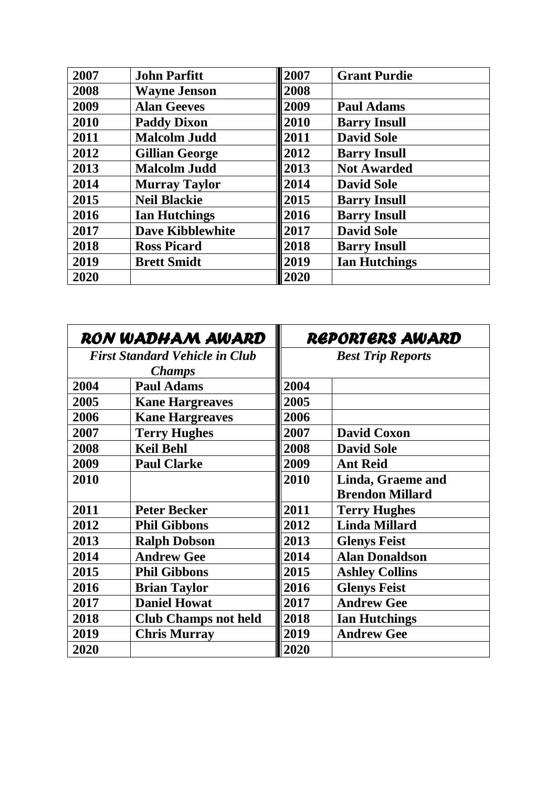| 2007 | <b>John Parfitt</b>     | 2007 | <b>Grant Purdie</b>  |
|------|-------------------------|------|----------------------|
| 2008 | <b>Wayne Jenson</b>     | 2008 |                      |
| 2009 | <b>Alan Geeves</b>      | 2009 | <b>Paul Adams</b>    |
| 2010 | <b>Paddy Dixon</b>      | 2010 | <b>Barry Insull</b>  |
| 2011 | <b>Malcolm Judd</b>     | 2011 | <b>David Sole</b>    |
| 2012 | <b>Gillian George</b>   | 2012 | <b>Barry Insull</b>  |
| 2013 | <b>Malcolm Judd</b>     | 2013 | <b>Not Awarded</b>   |
| 2014 | <b>Murray Taylor</b>    | 2014 | <b>David Sole</b>    |
| 2015 | <b>Neil Blackie</b>     | 2015 | <b>Barry Insull</b>  |
| 2016 | <b>Ian Hutchings</b>    | 2016 | <b>Barry Insull</b>  |
| 2017 | <b>Dave Kibblewhite</b> | 2017 | <b>David Sole</b>    |
| 2018 | <b>Ross Picard</b>      | 2018 | <b>Barry Insull</b>  |
| 2019 | <b>Brett Smidt</b>      | 2019 | <b>Ian Hutchings</b> |
| 2020 |                         | 2020 |                      |

| RON WADHAM AWARD<br><b>First Standard Vehicle in Club</b><br><b>Champs</b> |                             | REPORTERS AWARD<br><b>Best Trip Reports</b> |                        |
|----------------------------------------------------------------------------|-----------------------------|---------------------------------------------|------------------------|
|                                                                            |                             |                                             |                        |
| 2005                                                                       | <b>Kane Hargreaves</b>      | 2005                                        |                        |
| 2006                                                                       | <b>Kane Hargreaves</b>      | 2006                                        |                        |
| 2007                                                                       | <b>Terry Hughes</b>         | 2007                                        | <b>David Coxon</b>     |
| 2008                                                                       | <b>Keil Behl</b>            | 2008                                        | <b>David Sole</b>      |
| 2009                                                                       | <b>Paul Clarke</b>          | 2009                                        | <b>Ant Reid</b>        |
| 2010                                                                       |                             | 2010                                        | Linda, Graeme and      |
|                                                                            |                             |                                             | <b>Brendon Millard</b> |
| 2011                                                                       | <b>Peter Becker</b>         | 2011                                        | <b>Terry Hughes</b>    |
| 2012                                                                       | <b>Phil Gibbons</b>         | 2012                                        | <b>Linda Millard</b>   |
| 2013                                                                       | <b>Ralph Dobson</b>         | 2013                                        | <b>Glenys Feist</b>    |
| 2014                                                                       | <b>Andrew Gee</b>           | 2014                                        | <b>Alan Donaldson</b>  |
| 2015                                                                       | <b>Phil Gibbons</b>         | 2015                                        | <b>Ashley Collins</b>  |
| 2016                                                                       | <b>Brian Taylor</b>         | 2016                                        | <b>Glenys Feist</b>    |
| 2017                                                                       | <b>Daniel Howat</b>         | 2017                                        | <b>Andrew Gee</b>      |
| 2018                                                                       | <b>Club Champs not held</b> | 2018                                        | <b>Ian Hutchings</b>   |
| 2019                                                                       | <b>Chris Murray</b>         | 2019                                        | <b>Andrew Gee</b>      |
| 2020                                                                       |                             | 2020                                        |                        |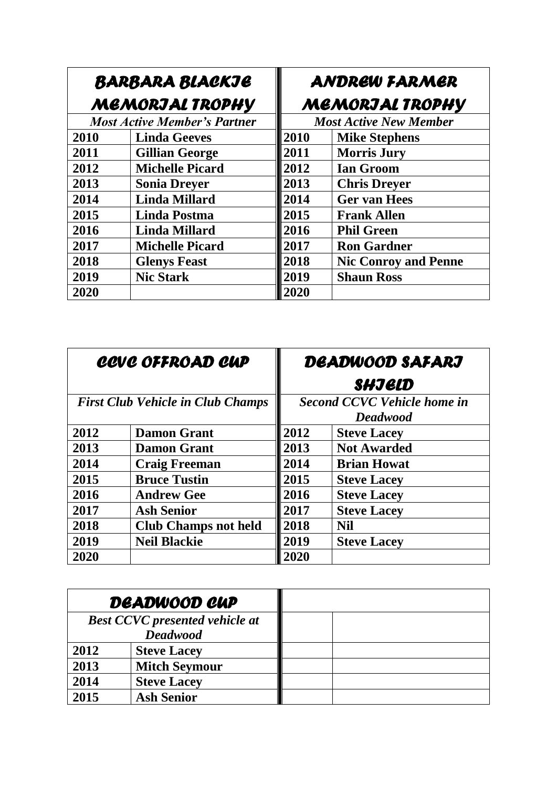| <b>BARBARA BLACKJE</b><br><b>MEMORJAL TROPHY</b> |                                     | <b>ANDREW FARMER</b><br><b>MEMORJAL TROPHY</b> |                               |
|--------------------------------------------------|-------------------------------------|------------------------------------------------|-------------------------------|
|                                                  | <b>Most Active Member's Partner</b> |                                                | <b>Most Active New Member</b> |
| 2010                                             | <b>Linda Geeves</b>                 | 2010                                           | <b>Mike Stephens</b>          |
| 2011                                             | <b>Gillian George</b>               | 2011                                           | <b>Morris Jury</b>            |
| 2012                                             | <b>Michelle Picard</b>              | 2012                                           | <b>Ian Groom</b>              |
| 2013                                             | <b>Sonia Dreyer</b>                 | 2013                                           | <b>Chris Dreyer</b>           |
| 2014                                             | <b>Linda Millard</b>                | 2014                                           | <b>Ger van Hees</b>           |
| 2015                                             | Linda Postma                        | 2015                                           | <b>Frank Allen</b>            |
| 2016                                             | <b>Linda Millard</b>                | 2016                                           | <b>Phil Green</b>             |
| 2017                                             | <b>Michelle Picard</b>              | 2017                                           | <b>Ron Gardner</b>            |
| 2018                                             | <b>Glenys Feast</b>                 | 2018                                           | <b>Nic Conroy and Penne</b>   |
| 2019                                             | <b>Nic Stark</b>                    | 2019                                           | <b>Shaun Ross</b>             |
| 2020                                             |                                     | 2020                                           |                               |

| <b>CCVC OFFROAD CUP</b>                  |                             | DEADWOOD SAFARJ                    |                    |
|------------------------------------------|-----------------------------|------------------------------------|--------------------|
|                                          |                             |                                    | SHJELD             |
| <b>First Club Vehicle in Club Champs</b> |                             | <b>Second CCVC Vehicle home in</b> |                    |
|                                          |                             |                                    | <b>Deadwood</b>    |
| 2012                                     | <b>Damon Grant</b>          | 2012                               | <b>Steve Lacey</b> |
| 2013                                     | <b>Damon Grant</b>          | 2013                               | <b>Not Awarded</b> |
| 2014                                     | <b>Craig Freeman</b>        | 2014                               | <b>Brian Howat</b> |
| 2015                                     | <b>Bruce Tustin</b>         | 2015                               | <b>Steve Lacey</b> |
| 2016                                     | <b>Andrew Gee</b>           | 2016                               | <b>Steve Lacey</b> |
| 2017                                     | <b>Ash Senior</b>           | 2017                               | <b>Steve Lacev</b> |
| 2018                                     | <b>Club Champs not held</b> | 2018                               | <b>Nil</b>         |
| 2019                                     | <b>Neil Blackie</b>         | 2019                               | <b>Steve Lacey</b> |
| 2020                                     |                             | <b>2020</b>                        |                    |

|      | DEADWOOD CUP                          |  |
|------|---------------------------------------|--|
|      | <b>Best CCVC</b> presented vehicle at |  |
|      | <b>Deadwood</b>                       |  |
| 2012 | <b>Steve Lacey</b>                    |  |
| 2013 | <b>Mitch Seymour</b>                  |  |
| 2014 | <b>Steve Lacey</b>                    |  |
| 2015 | <b>Ash Senior</b>                     |  |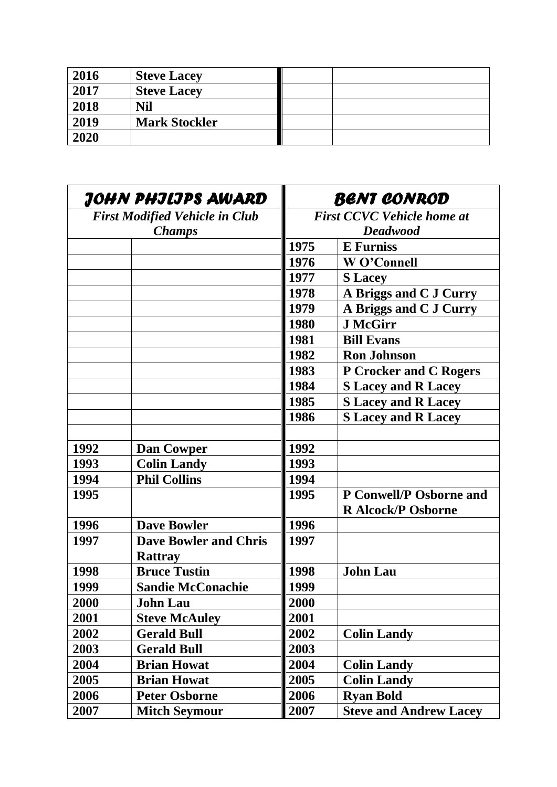| 2016 | <b>Steve Lacey</b>   |  |
|------|----------------------|--|
| 2017 | <b>Steve Lacey</b>   |  |
| 2018 | Nil                  |  |
| 2019 | <b>Mark Stockler</b> |  |
| 2020 |                      |  |

| JOHN PHJLJPS AWARD                    |                                                | <b>BENT CONROD</b>                |                                   |
|---------------------------------------|------------------------------------------------|-----------------------------------|-----------------------------------|
| <b>First Modified Vehicle in Club</b> |                                                | <b>First CCVC Vehicle home at</b> |                                   |
| <b>Champs</b>                         |                                                | <b>Deadwood</b>                   |                                   |
|                                       |                                                | 1975                              | <b>E</b> Furniss                  |
|                                       |                                                | 1976                              | W O'Connell                       |
|                                       |                                                | 1977                              | <b>S</b> Lacey                    |
|                                       |                                                | 1978                              | A Briggs and C J Curry            |
|                                       |                                                | 1979                              | A Briggs and C J Curry            |
|                                       |                                                | 1980                              | <b>J</b> McGirr                   |
|                                       |                                                | 1981                              | <b>Bill Evans</b>                 |
|                                       |                                                | 1982                              | <b>Ron Johnson</b>                |
|                                       |                                                | 1983                              | <b>P Crocker and C Rogers</b>     |
|                                       |                                                | 1984                              | <b>S</b> Lacey and <b>R</b> Lacey |
|                                       |                                                | 1985                              | <b>S Lacey and R Lacey</b>        |
|                                       |                                                | 1986                              | <b>S</b> Lacey and <b>R</b> Lacey |
|                                       |                                                |                                   |                                   |
| 1992                                  | <b>Dan Cowper</b>                              | 1992                              |                                   |
| 1993                                  | <b>Colin Landy</b>                             | 1993                              |                                   |
| 1994                                  | <b>Phil Collins</b>                            | 1994                              |                                   |
| 1995                                  |                                                | 1995                              | P Conwell/P Osborne and           |
|                                       |                                                |                                   | <b>R Alcock/P Osborne</b>         |
| 1996                                  | <b>Dave Bowler</b>                             | 1996                              |                                   |
| 1997                                  | <b>Dave Bowler and Chris</b><br><b>Rattray</b> | 1997                              |                                   |
| 1998                                  | <b>Bruce Tustin</b>                            | 1998                              | <b>John Lau</b>                   |
| 1999                                  | <b>Sandie McConachie</b>                       | 1999                              |                                   |
| 2000                                  | <b>John Lau</b>                                | 2000                              |                                   |
| 2001                                  | <b>Steve McAuley</b>                           | 2001                              |                                   |
| 2002                                  | <b>Gerald Bull</b>                             | 2002                              | <b>Colin Landy</b>                |
| 2003                                  | <b>Gerald Bull</b>                             | 2003                              |                                   |
| 2004                                  | <b>Brian Howat</b>                             | 2004                              | <b>Colin Landy</b>                |
| 2005                                  | <b>Brian Howat</b>                             | 2005                              | <b>Colin Landy</b>                |
| 2006                                  | <b>Peter Osborne</b>                           | 2006                              | <b>Ryan Bold</b>                  |
| 2007                                  | <b>Mitch Seymour</b>                           | 2007                              | <b>Steve and Andrew Lacey</b>     |